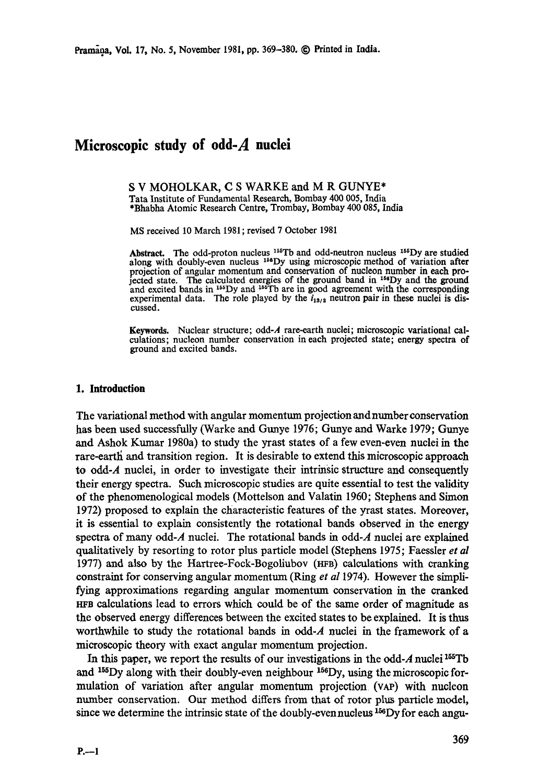# **Microscopic study of odd-A nuclei**

S V MOHOLKAR, C S WARKE and M R GUNYE\* Tata Institute of Fundamental Research, Bombay 400 005, India \*Bhabha Atomic Research Centre, Trombay, Bombay 400 085, **India** 

MS received 10 March 1981 ; revised 7 October 1981

Abstract. The odd-proton nucleus <sup>155</sup>Tb and odd-neutron nucleus <sup>155</sup>Dy are studied along with doubly-even nucleus <sup>158</sup>Dy using microscopic method of variation after projection of angular momentum and conservation of nucleon number in each projected state. The calculated energies of the ground band in <sup>156</sup>Dy and the ground and excited bands in  $165$ Dy and  $165$ Tb are in good agreement with the corresponding experimental data. The role played by the  $i_{13/2}$  neutron pair in these nuclei is discussed.

Keywords. Nuclear structure; odd-A rare-earth nuclei; microscopic variational calculations; nucleon number conservation in each projected state; energy spectra of ground and excited bands.

#### **1. Introduction**

The variational method with angular momentum projection and number conservation has been used successfully (Warke and Gunye 1976; Gunye and Warke 1979; Gunye and Ashok Kumar 1980a) to study the yrast states of a few even-even nuclei in the rare-earth and transition region. It is desirable to extend this microscopic approach to odd-A nuclei, in order to investigate their intrinsic structure and consequently their energy spectra. Such microscopic studies are quite essential to test the validity of the phenomenological models (Mottelson and Valatin 1960; Stephens and Simon 1972) proposed to explain the characteristic features of the yrast states. Moreover, it is essential to explain consistently the rotational bands observed in the energy spectra of many odd-A nuclei. The rotational bands in odd-A nuclei are explained qualitatively by resorting to rotor plus particle model (Stephens 1975; Faessler *et al*  1977) and also by the Hartree-Fock-Bogoliubov (HFB) calculations with cranking constraint for conserving angular momentum (Ring *et al* 1974). However the simplifying approximations regarding angular momentum conservation in the cranked **HrS** calculations lead to errors which could be of the same order of magnitude as the observed energy differences between the excited states to be explained. It is thus worthwhile to study the rotational bands in odd-A nuclei in the framework of a microscopic theory with exact angular momentum projection.

In this paper, we report the results of our investigations in the odd-A nuclei  $^{155}$ Tb and  $155Dy$  along with their doubly-even neighbour  $156Dy$ , using the microscopic formulation of variation after angular momentum projection (VAP) with nucleon number conservation. Our method differs from that of rotor plus particle model, since we determine the intrinsic state of the doubly-even nucleus  $156$ Dy for each angu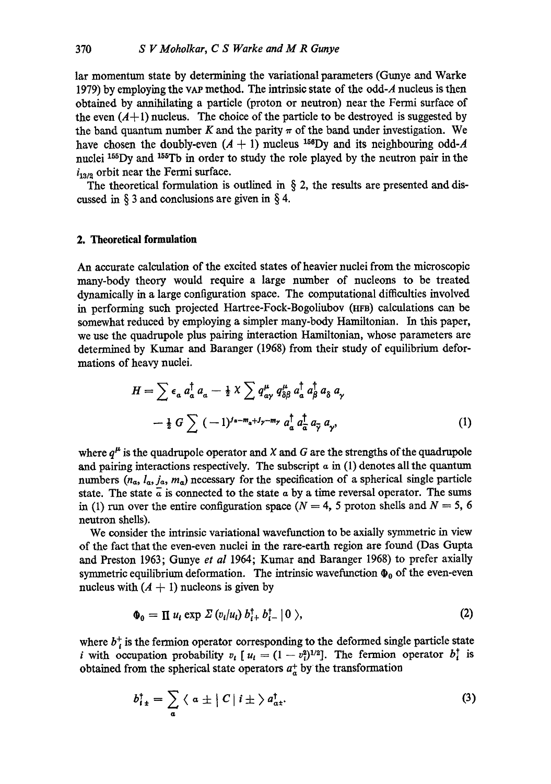lar momentum state by determining the variational parameters (Gunye and Warke 1979) by employing the yAP method. The intrinsic state of the odd-A nucleus is then obtained by annihilating a particle (proton or neutron) near the Fermi surface of the even  $(A+1)$  nucleus. The choice of the particle to be destroyed is suggested by the band quantum number K and the parity  $\pi$  of the band under investigation. We have chosen the doubly-even  $(A + 1)$  nucleus <sup>156</sup>Dy and its neighbouring odd-A nuclei 155Dy and <sup>155</sup>Tb in order to study the role played by the neutron pair in the  $i_{13/2}$  orbit near the Fermi surface.

The theoretical formulation is outlined in  $\S$  2, the results are presented and discussed in § 3 and conclusions are given in § 4.

## **2. Theoretical formulation**

An accurate calculation of the excited states of heavier nuclei from the microscopic many-body theory would require a large number of nucleons to be treated dynamically in a large configuration space. The computational difficulties involved in performing such projected Hartree-Fock-Bogoliubov (HFB) caIculations can be somewhat reduced by employing a simpler many-body Hamiltonian. In this paper, we use the quadrupole plus pairing interaction Hamiltonian, whose parameters are determined by Kumar and Baranger (1968) from their study of equilibrium deformations of heavy nuclei.

$$
H = \sum \epsilon_a a_a^{\dagger} a_a - \frac{1}{2} \chi \sum q_{a\gamma}^{\mu} q_{\delta\beta}^{\mu} a_a^{\dagger} a_{\beta}^{\dagger} a_{\delta} a_{\gamma}
$$

$$
- \frac{1}{2} G \sum (-1)^{j_a - m_a + j_{\gamma} - m_{\gamma}} a_a^{\dagger} a_{\overline{\alpha}}^{\dagger} a_{\overline{\gamma}} a_{\gamma}, \qquad (1)
$$

where  $q^{\mu}$  is the quadrupole operator and X and G are the strengths of the quadrupole and pairing interactions respectively. The subscript  $\alpha$  in (1) denotes all the quantum numbers  $(n_{\alpha}, l_{\alpha}, j_{\alpha}, m_{\alpha})$  necessary for the specification of a spherical single particle state. The state  $\alpha$  is connected to the state  $\alpha$  by a time reversal operator. The sums in (1) run over the entire configuration space ( $N = 4$ , 5 proton shells and  $N = 5$ , 6 neutron shells).

We consider the intrinsic variational wavefunction to be axially symmetric in view of the fact that the even-even nuclei in the rare-earth region are found (Das Gupta and Preston 1963; Gunye *et al* 1964; Kumar and Baranger 1968) to prefer axially symmetric equilibrium deformation. The intrinsic wavefunction  $\Phi_0$  of the even-even nucleus with  $(A + 1)$  nucleons is given by

$$
\Phi_0 = \Pi u_i \exp \Sigma (v_i/u_i) b_{i+}^{\dagger} b_{i-}^{\dagger} |0 \rangle, \qquad (2)
$$

where  $b_i^+$  is the fermion operator corresponding to the deformed single particle state *i* with occupation probability  $v_i$  [  $u_i = (1 - v_i^2)^{1/2}$ ]. The fermion operator  $b_i^{\dagger}$  is obtained from the spherical state operators  $a^+$  by the transformation

$$
b_{i\pm}^{\dagger} = \sum_{a} \langle a \pm | C | i \pm \rangle a_{a\pm}^{\dagger}.
$$
 (3)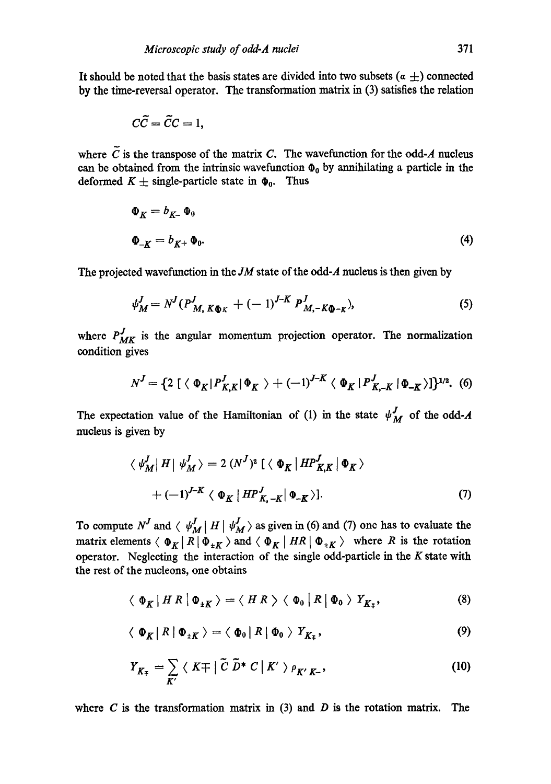It should be noted that the basis states are divided into two subsets  $(a \pm)$  connected by the time-reversal operator. The transformation matrix in (3) satisfies the relation

$$
C\tilde{C}=\tilde{C}C=1,
$$

where  $\tilde{C}$  is the transpose of the matrix C. The wavefunction for the odd-A nucleus can be obtained from the intrinsic wavefunction  $\Phi_0$  by annihilating a particle in the deformed  $K \pm$  single-particle state in  $\Phi_0$ . Thus

$$
\Phi_K = b_{K^+} \Phi_0
$$
  

$$
\Phi_{-K} = b_{K^+} \Phi_0.
$$
 (4)

The projected wavefunction in the *JM* state of the odd-A nucleus is then given by

$$
\psi_M^J = N^J (P^J_{M, K\Phi K} + (-1)^{J-K} P^J_{M, -K\Phi - K}), \tag{5}
$$

where  $P_{MK}^{J}$  is the angular momentum projection operator. The normalization condition gives

$$
N^{J} = \{2 \mid \langle \Phi_{K} | P^{J}_{K,K} | \Phi_{K} \rangle + (-1)^{J-K} \langle \Phi_{K} | P^{J}_{K,-K} | \Phi_{-K} \rangle \}^{1/2}.
$$
 (6)

The expectation value of the Hamiltonian of (1) in the state  $\psi_M^J$  of the odd-A nucleus is given by

$$
\langle \psi_M^J | H | \psi_M^J \rangle = 2 (N^J)^2 \left[ \langle \Phi_K | H P_{K,K}^J | \Phi_K \rangle \right]
$$
  
+ 
$$
(-1)^{J-K} \langle \Phi_K | H P_{K,-K}^J | \Phi_{-K} \rangle
$$
]. (7)

To compute  $N^J$  and  $\langle \psi_M^J | H | \psi_M^J \rangle$  as given in (6) and (7) one has to evaluate the matrix elements  $\langle \Phi_K | R | \Phi_{\pm K} \rangle$  and  $\langle \Phi_K | HR | \Phi_{\pm K} \rangle$  where R is the rotation operator. Neglecting the interaction of the single odd-particle in the  $K$  state with the rest of the nucleons, one obtains

$$
\langle \Phi_K | HR \, | \, \Phi_{\pm K} \, \rangle = \langle HR \, \rangle \langle \Phi_0 | R | \, \Phi_0 \, \rangle \, Y_{K_{\mp}}, \tag{8}
$$

$$
\langle \Phi_K | R | \Phi_{\pm K} \rangle = \langle \Phi_0 | R | \Phi_0 \rangle Y_{K_{\mp}}, \tag{9}
$$

$$
Y_{K_{\mp}} = \sum_{K'} \langle K \mp | \tilde{C} \tilde{D}^* C | K' \rangle \rho_{K'K^-}, \qquad (10)
$$

where C is the transformation matrix in  $(3)$  and D is the rotation matrix. The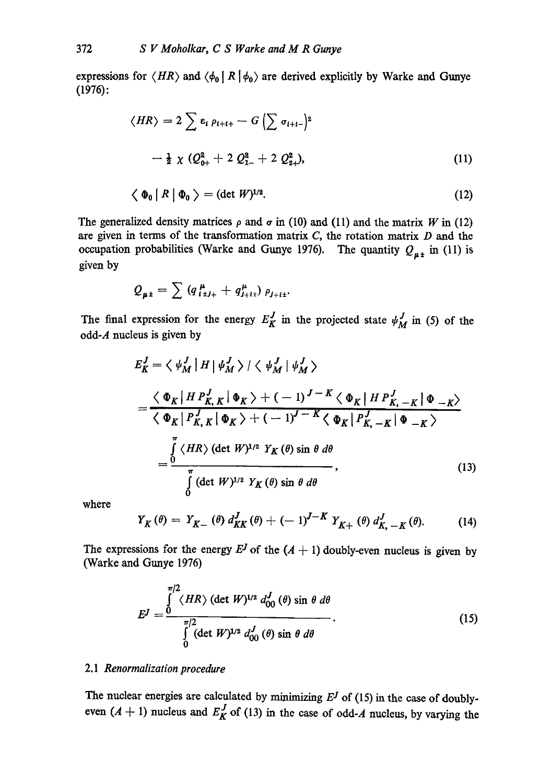expressions for  $\langle HR \rangle$  and  $\langle \phi_0 | R | \phi_0 \rangle$  are derived explicitly by Warke and Gunye (1976):

$$
\langle HR \rangle = 2 \sum \epsilon_i \rho_{i+i+} - G \left( \sum \sigma_{i+i-} \right)^2
$$
  
-  $\frac{1}{2} \chi (Q_{0+}^2 + 2 Q_{1-}^2 + 2 Q_{2+}^2),$  (11)

$$
\langle \Phi_0 | R | \Phi_0 \rangle = (\det W)^{1/2}.
$$
 (12)

The generalized density matrices  $\rho$  and  $\sigma$  in (10) and (11) and the matrix W in (12) are given in terms of the transformation matrix  $C$ , the rotation matrix  $D$  and the occupation probabilities (Warke and Gunye 1976). The quantity  $Q_{\mu\pm}$  in (11) is given by

$$
Q_{\mu\pm} = \sum (q_{i\pm j_{+}}^{\mu} + q_{j_{+}i_{+}}^{\mu}) \rho_{j_{+}i_{+}}.
$$

The final expression for the energy  $E_K^J$  in the projected state  $\psi_M^J$  in (5) of the odd- $A$  nucleus is given by

$$
E_K^J = \langle \psi_M^J | H | \psi_M^J \rangle / \langle \psi_M^J | \psi_M^J \rangle
$$
  
= 
$$
\frac{\langle \Phi_K | H P_{K,K}^J | \Phi_K \rangle + (-1)^{J-K} \langle \Phi_K | H P_{K,-K}^J | \Phi_{-K} \rangle}{\langle \Phi_K | P_{K,K}^J | \Phi_K \rangle + (-1)^{J-K} \langle \Phi_K | P_{K,-K}^J | \Phi_{-K} \rangle}
$$
  
= 
$$
\frac{\int_0^{\pi} \langle H R \rangle (\det W)^{1/2} Y_K(\theta) \sin \theta \, d\theta}{\int_0^{\pi} (\det W)^{1/2} Y_K(\theta) \sin \theta \, d\theta}
$$
 (13)

where

$$
Y_K(\theta) = Y_{K-}(\theta) d_{KK}^J(\theta) + (-1)^{J-K} Y_{K+}(\theta) d_{K,-K}^J(\theta).
$$
 (14)

The expressions for the energy  $E^J$  of the  $(A + 1)$  doubly-even nucleus is given by (Warke and Gunye 1976)

$$
E^J = \frac{\int_{0}^{\pi/2} \langle HR \rangle (\det W)^{1/2} d_{00}^J(\theta) \sin \theta \, d\theta}{\int_{0}^{\pi/2} (\det W)^{1/2} d_{00}^J(\theta) \sin \theta \, d\theta}.
$$
 (15)

## 2.1 *Renormalization procedure*

The nuclear energies are calculated by minimizing  $E<sup>J</sup>$  of (15) in the case of doublyeven  $(A + 1)$  nucleus and  $E_K^J$  of (13) in the case of odd-A nucleus, by varying the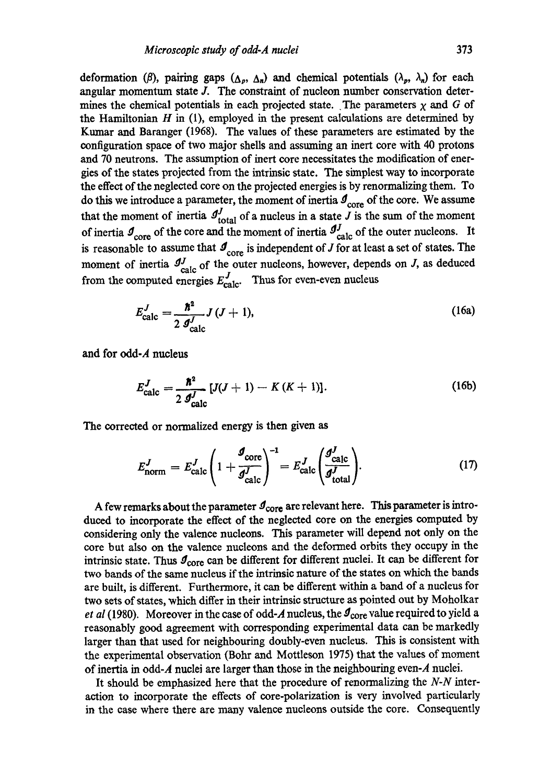deformation ( $\beta$ ), pairing gaps ( $\Delta_p$ ,  $\Delta_n$ ) and chemical potentials ( $\lambda_p$ ,  $\lambda_n$ ) for each angular momentum state  $J$ . The constraint of nucleon number conservation determines the chemical potentials in each projected state. The parameters  $\chi$  and G of the Hamiltonian  $H$  in (1), employed in the present calculations are determined by Kumar and Baranger (1968). The values of these parameters are estimated by the configuration space of two major shells and assuming an inert core with 40 protons and 70 neutrons. The assumption of inert core necessitates the modification of energies of the states projected from the intrinsic state. The simplest way to incorporate the effect of the neglected core on the projected energies is by renormalizing them. To do this we introduce a parameter, the moment of inertia  $\mathcal{I}_{core}$  of the core. We assume that the moment of inertia  $J_{total}$  of a nucleus in a state J is the sum of the moment of inertia  $\mathcal{I}_{\text{core}}$  of the core and the moment of inertia  $\mathcal{I}_{\text{calc}}^J$  of the outer nucleons. It is reasonable to assume that  $\mathcal{I}_{\text{core}}$  is independent of J for at least a set of states. The moment of inertia  $J_{\text{calc}}^J$  of the outer nucleons, however, depends on J, as deduced from the computed energies  $E_{\text{calc}}^J$ . Thus for even-even nucleus

$$
E_{\text{calc}}^{J} = \frac{\hbar^2}{2 \mathcal{J}_{\text{calc}}^{J}} J \left( J + 1 \right), \tag{16a}
$$

and for odd-A nucleus

$$
E_{\text{calc}}^{J} = \frac{\hbar^2}{2 \, \mathcal{J}_{\text{calc}}^{J}} \left[ J(J+1) - K \left( K+1 \right) \right]. \tag{16b}
$$

The corrected or normalized energy is then given as

$$
E_{\text{norm}}^J = E_{\text{calc}}^J \left( 1 + \frac{\sigma_{\text{core}}}{\sigma_{\text{calc}}^J} \right)^{-1} = E_{\text{calc}}^J \left( \frac{\sigma_{\text{calc}}^J}{\sigma_{\text{total}}^J} \right). \tag{17}
$$

A few remarks about the parameter  $\mathcal{I}_{\text{core}}$  are relevant here. This parameter is introduced to incorporate the effect of the neglected core on the energies computed by considering only the valence nucleons. This parameter will depend not only on the core but also on the valence nucleons and the deformed orbits they occupy in the intrinsic state. Thus  $\mathcal{I}_{\text{core}}$  can be different for different nuclei. It can be different for two bands of the same nucleus if the intrinsic nature of the states on which the bands are built, is different. Furthermore, it can be different within a band of a nucleus for two sets of states, which differ in their intrinsic structure as pointed out by Moholkar *et al* (1980). Moreover in the case of odd-A nucleus, the  $\sigma_{\text{core}}$  value required to yield a reasonably good agreement with corresponding experimental data can be markedly larger than that used for neighbouring doubly-even nucleus. This is consistent with the experimental observation (Bohr and Mottleson 1975) that the values of moment of inertia in odd-A nuclei are larger than those in the neighbouring even-A nuclei.

It should be emphasized here that the procedure of rcnormalizing the *N-N* interaction to incorporate the effects of core-polarization is very involved particularly in the case where there are many valence nucleons outside the core. Consequently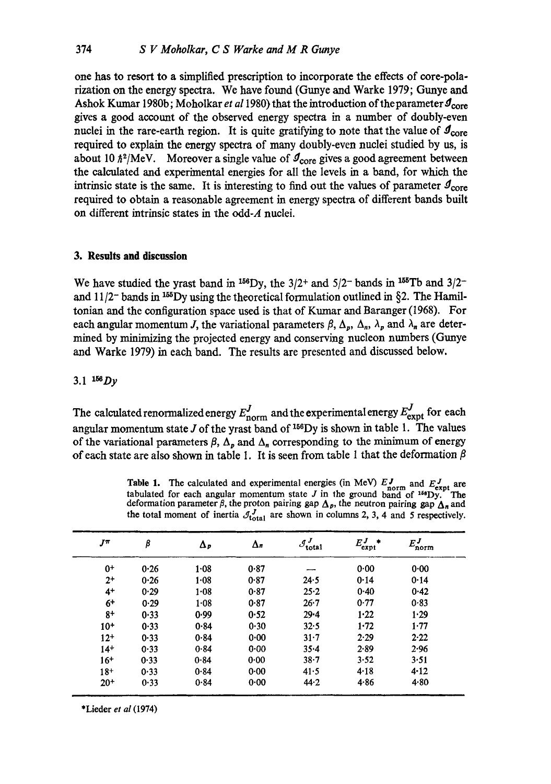one has to resort to a simplified prescription to incorporate the effects of core-polarization on the energy spectra. We have found (Gunye and Warke 1979; Gunye and Ashok Kumar 1980b; Moholkar *et al* 1980) that the introduction of the parameter  $\mathcal{I}_{\text{core}}$ gives a good account of the observed energy spectra in a number of doubly-even nuclei in the rare-earth region. It is quite gratifying to note that the value of  $\mathcal{I}_{\text{core}}$ required to explain the energy spectra of many doubly-even nuclei studied by us, is about 10  $\hbar^2/MeV$ . Moreover a single value of  $\mathcal{I}_{core}$  gives a good agreement between the calculated and experimental energies for all the levels in a band, for which the intrinsic state is the same. It is interesting to find out the values of parameter  $\mathcal{I}_{\text{core}}$ required to obtain a reasonable agreement in energy spectra of different bands built on different intrinsic states in the odd-A nuclei.

# **3. Results and discussion**

We have studied the yrast band in <sup>156</sup>Dy, the 3/2<sup>+</sup> and 5/2<sup>-</sup> bands in <sup>155</sup>Tb and 3/2<sup>-</sup> and  $11/2$ <sup>-</sup> bands in <sup>155</sup>Dy using the theoretical formulation outlined in §2. The Hamiltonian and the configuration space used is that of Kumar and Baranger (1968). For each angular momentum J, the variational parameters  $\beta$ ,  $\Delta_p$ ,  $\Delta_n$ ,  $\lambda_p$  and  $\lambda_n$  are determined by minimizing the projected energy and conserving nucleon numbers (Gunye and Warke 1979) in each band. The results are presented and discussed below.

## 3.1  $156$  Dy

The calculated renormalized energy  $E_{\text{norm}}^{J}$  and the experimental energy  $E_{\text{expt}}^{J}$  for each angular momentum state  $J$  of the yrast band of  $^{156}$ Dy is shown in table 1. The values of the variational parameters  $\beta$ ,  $\Lambda_p$  and  $\Lambda_p$  corresponding to the minimum of energy of each state are also shown in table 1. It is seen from table 1 that the deformation  $\beta$ 

| $J^{\pi}$ | β    | Δр       | $\Delta$ n | $\mathcal{I}^J_{\text{total}}$ | $E^J$<br>'expt | $E_{\text{norm}}^J$ |
|-----------|------|----------|------------|--------------------------------|----------------|---------------------|
| $0+$      | 0.26 | 1.08     | 0.87       |                                | 0.00           | 0.00                |
| $2+$      | 0.26 | 1.08     | 0.87       | 24.5                           | 0.14           | 0.14                |
| $4+$      | 0.29 | 1.08     | 0.87       | $25 - 2$                       | 0.40           | 0.42                |
| $6+$      | 0.29 | $1 - 08$ | 0.87       | 26.7                           | 0.77           | 0.83                |
| $8+$      | 0.33 | 0.99     | 0.52       | $29 - 4$                       | 1.22           | 1.29                |
| $10+$     | 0.33 | 0.84     | 0.30       | 32.5                           | $1 - 72$       | 1.77                |
| $12+$     | 0.33 | 0.84     | 0.00       | $31 - 7$                       | 2.29           | 2.22                |
| $14+$     | 0.33 | 0.84     | 0.00       | $35 - 4$                       | 2.89           | 2.96                |
| $16+$     | 0.33 | 0.84     | 0.00       | $38 - 7$                       | 3.52           | 3.51                |
| $18+$     | 0.33 | 0.84     | 0.00       | 41.5                           | 4.18           | 4.12                |
| $20+$     | 0.33 | 0.84     | 0.00       | 44.2                           | 4.86           | 4.80                |

Table 1. The calculated and experimental energies (in MeV)  $E_J^{\text{J}}$  and  $E_{\text{expt}}^{\text{J}}$  are tabulated for each angular momentum state J in the ground band of <sup>16e</sup>Dy. The deformation parameter  $\beta$ , the proton pairing gap  $\Delta_p$ , the neutron pairing gap  $\Delta_n$  and the total moment of inertia  $\mathcal{J}_{total}^J$  are shown in columns 2, 3, 4 and 5 respectively.

\*Lieder *et al* (1974)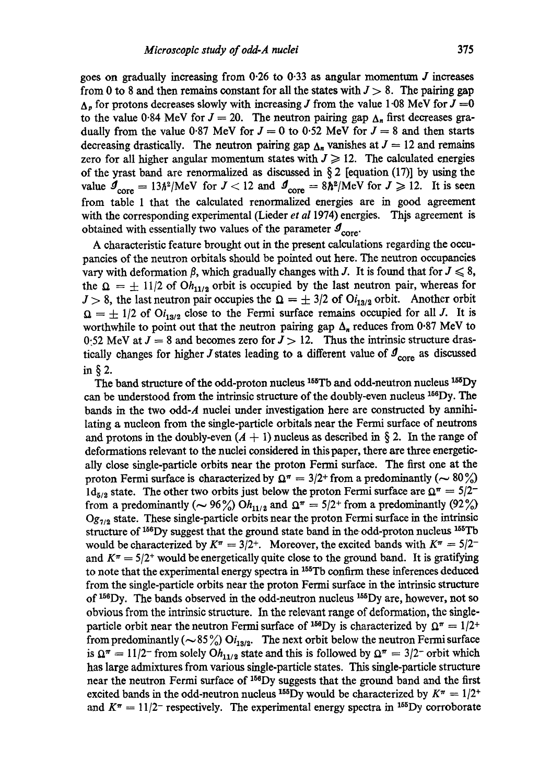goes on gradually increasing from 0.26 to 0.33 as angular momentum  $J$  increases from 0 to 8 and then remains constant for all the states with  $J > 8$ . The pairing gap  $\Delta_p$  for protons decreases slowly with increasing J from the value 1.08 MeV for  $J = 0$ to the value 0.84 MeV for  $J = 20$ . The neutron pairing gap  $\Delta_n$  first decreases gradually from the value 0.87 MeV for  $J = 0$  to 0.52 MeV for  $J = 8$  and then starts decreasing drastically. The neutron pairing gap  $\Delta_n$  vanishes at  $J = 12$  and remains zero for all higher angular momentum states with  $J \geq 12$ . The calculated energies of the yrast band are renormalized as discussed in  $\S 2$  [equation (17)] by using the value  $\mathcal{I}_{\text{core}} = 13\hbar^2/\text{MeV}$  for  $J < 12$  and  $\mathcal{I}_{\text{core}} = 8\hbar^2/\text{MeV}$  for  $J \geq 12$ . It is seen from table 1 that the calculated renormalized energies are in good agreement with the corresponding experimental (Lieder *et al* 1974) energies. This agreement is obtained with essentially two values of the parameter  $\mathcal{I}_{core}$ .

A characteristic feature brought out in the present calculations regarding the occupancies of the neutron orbitals should be pointed out here. The neutron occupancies vary with deformation  $\beta$ , which gradually changes with J. It is found that for  $J \leq 8$ , the  $\Omega = \pm 11/2$  of Oh<sub>11/2</sub> orbit is occupied by the last neutron pair, whereas for  $J > 8$ , the last neutron pair occupies the  $\Omega = \pm 3/2$  of  $O_{13/2}$  orbit. Another orbit  $\Omega = \pm 1/2$  of Oi<sub>13/2</sub> close to the Fermi surface remains occupied for all J. It is worthwhile to point out that the neutron pairing gap  $\Delta_n$  reduces from 0.87 MeV to 0:52 MeV at  $J = 8$  and becomes zero for  $J > 12$ . Thus the intrinsic structure drastically changes for higher J states leading to a different value of  $\mathcal{I}_{core}$  as discussed in§2.

The band structure of the odd-proton nucleus <sup>155</sup>Tb and odd-neutron nucleus <sup>155</sup>Dy can be understood from the intrinsic structure of the doubly-even nucleus  $^{166}$ Dy. The bands in the two odd-A nuclei under investigation here are constructed by annihilating a nucleon from the single-particle orbitals near the Fermi surface of neutrons and protons in the doubly-even  $(A + 1)$  nucleus as described in § 2. In the range of deformations relevant to the nuclei considered in this paper, there are three energetically close single-particle orbits near the proton Fermi surface. The first one at the proton Fermi surface is characterized by  $\Omega^{\pi} = 3/2^{+}$  from a predominantly ( $\sim 80 \%$ )  $1d_{5/2}$  state. The other two orbits just below the proton Fermi surface are  $\Omega^{\pi} = 5/2^$ from a predominantly ( $\sim$  96%) Oh<sub>11/2</sub> and  $\Omega^{\pi} = 5/2$ + from a predominantly (92%) *Og<sub>7/2</sub>* state. These single-particle orbits near the proton Fermi surface in the intrinsic structure of  $156Dy$  suggest that the ground state band in the odd-proton nucleus  $155Tb$ would be characterized by  $K^{\pi} = 3/2^{+}$ . Moreover, the excited bands with  $K^{\pi} = 5/2^{-}$ and  $K^{\pi} = 5/2^{+}$  would be energetically quite close to the ground band. It is gratifying to note that the experimental energy spectra in <sup>155</sup>Tb confirm these inferences deduced from the single-particle orbits near the proton Fermi surface in the intrinsic structure of  $156$  Dy. The bands observed in the odd-neutron nucleus  $155$  Dy are, however, not so obvious from the intrinsic structure. In the relevant range of deformation, the singleparticle orbit near the neutron Fermi surface of <sup>156</sup>Dy is characterized by  $\Omega^{\pi} = 1/2^{+}$ from predominantly ( $\sim$  85%) Oi<sub>13/2</sub>. The next orbit below the neutron Fermi surface is  $\Omega^{\pi} = 11/2$  from solely  $Oh_{11/2}$  state and this is followed by  $\Omega^{\pi} = 3/2$  orbit which has large admixtures from various single-particle states. This single-particle structure near the neutron Fermi surface of  $1^{56}$ Dy suggests that the ground band and the first excited bands in the odd-neutron nucleus <sup>155</sup>Dy would be characterized by  $K^{\pi} = 1/2^{+}$ and  $K^{\pi} = 11/2$  respectively. The experimental energy spectra in <sup>155</sup>Dy corroborate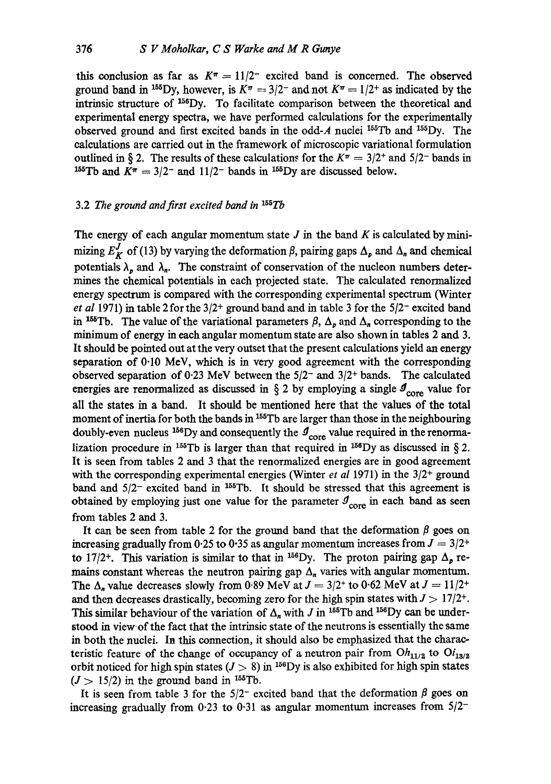this conclusion as far as  $K^{\pi} = 11/2^{-}$  excited band is concerned. The observed ground band in <sup>155</sup>Dy, however, is  $K^{\pi} = 3/2^{-}$  and not  $K^{\pi} = 1/2^{+}$  as indicated by the intrinsic structure of  $156$ Dy. To facilitate comparison between the theoretical and experimental energy spectra, we have performed calculations for the experimentally observed ground and first excited bands in the odd-A nuclei  $155Tb$  and  $155Dy$ . The calculations are carried out in the framework of microscopic variational formulation outlined in § 2. The results of these calculations for the  $K^{\pi} = 3/2^{+}$  and  $5/2^{-}$  bands in <sup>155</sup>Tb and  $K^{\pi} = 3/2$ <sup>-</sup> and  $11/2$ <sup>-</sup> bands in <sup>155</sup>Dy are discussed below.

## 3.2 *The ground and first excited band in 155Tb*

The energy of each angular momentum state  $J$  in the band  $K$  is calculated by minimizing  $E_K^J$  of (13) by varying the deformation  $\beta$ , pairing gaps  $\Delta_p$  and  $\Delta_n$  and chemical potentials  $\lambda_n$  and  $\lambda_n$ . The constraint of conservation of the nucleon numbers determines the chemical potentials in each projected state. The calculated renormalized energy spectrum is compared with the corresponding experimental spectrum (Winter *et al* 1971) in table 2 for the  $3/2$ <sup>+</sup> ground band and in table 3 for the  $5/2$ <sup>-</sup> excited band in <sup>155</sup>Tb. The value of the variational parameters  $\beta$ ,  $\Delta_p$  and  $\Delta_n$  corresponding to the minimum of energy in each angular momentum state are also shown in tables 2 and 3. It should be pointed out at the very outset that the present calculations yield an energy separation of 0.10 MeV, which is in very good agreement with the corresponding observed separation of 0.23 MeV between the  $5/2$ <sup>-</sup> and  $3/2$ <sup>+</sup> bands. The calculated energies are renormalized as discussed in  $\S 2$  by employing a single  $\mathcal{I}_{core}$  value for all the states in a band. It should be mentioned here that the values of the total moment of inertia for both the bands in <sup>155</sup>Tb are larger than those in the neighbouring doubly-even nucleus <sup>156</sup>Dy and consequently the  $\mathcal{I}_{\text{core}}$  value required in the renormalization procedure in <sup>155</sup>Tb is larger than that required in <sup>156</sup>Dy as discussed in § 2. It is seen from tables 2 and 3 that the renormalized energies are in good agreement with the corresponding experimental energies (Winter *et al* 1971) in the 3/2<sup>+</sup> ground band and  $5/2^-$  excited band in <sup>155</sup>Tb. It should be stressed that this agreement is obtained by employing just one value for the parameter  $\mathcal{I}_{\text{core}}$  in each band as seen from tables 2 and 3.

It can be seen from table 2 for the ground band that the deformation  $\beta$  goes on increasing gradually from 0.25 to 0.35 as angular momentum increases from  $J = 3/2^+$ to 17/2<sup>+</sup>. This variation is similar to that in <sup>156</sup>Dy. The proton pairing gap  $\Delta_p$  remains constant whereas the neutron pairing gap  $\Delta_n$  varies with angular momentum. The  $\Delta_n$  value decreases slowly from 0.89 MeV at  $J = 3/2^+$  to 0.62 MeV at  $J = 11/2^+$ and then decreases drastically, becoming zero for the high spin states with  $J > 17/2^{+}$ . This similar behaviour of the variation of  $\Delta_n$  with J in <sup>155</sup>Tb and <sup>156</sup>Dy can be understood in view.of the fact that the intrinsic state of the neutrons is essentially the same in both the nuclei. In this connection, it should also be emphasized that the characteristic feature of the change of occupancy of a neutron pair from  $Oh_{11/2}$  to  $Ol_{13/2}$ orbit noticed for high spin states  $(J > 8)$  in <sup>156</sup>Dy is also exhibited for high spin states  $(J > 15/2)$  in the ground band in <sup>155</sup>Tb.

It is seen from table 3 for the  $5/2$ <sup>-</sup> excited band that the deformation  $\beta$  goes on increasing gradually from 0.23 to 0.31 as angular momentum increases from  $5/2^-$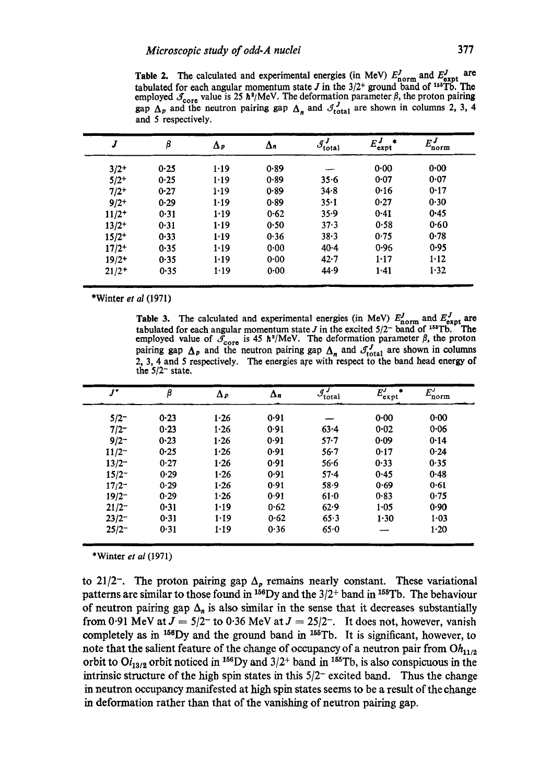Table 2. The calculated and experimental energies (in MeV)  $E_{\text{norm}}^{\prime}$  and  $E_{\text{expt}}^{\prime}$  are tabulated for each angular momentum state  $J$  in the  $3/2^+$  ground band of <sup>155</sup>Tb. The employed  $\mathcal{J}_{\text{core}}$  value is 25  $\hbar^2/\text{MeV}$ . The deformation parameter  $\beta$ , the proton pairing gap  $\Delta_p$  and the neutron pairing gap  $\Delta_n$  and  $\mathcal{J}_{total}$  are shown in columns 2, 3, 4 and 5 respectively.

|            | β    | $\Delta p$ | $\Delta n$ | $\mathcal{J}^J$<br>'total | $E_{\text{expt}}^{J}$ | $E^J$<br>'norm |
|------------|------|------------|------------|---------------------------|-----------------------|----------------|
| $3/2+$     | 0.25 | 1.19       | 0.89       |                           | 0.00                  | 0.00           |
| $5/2^{+}$  | 0.25 | 1.19       | 0.89       | 35.6                      | 0.07                  | 0.07           |
| $7/2^{+}$  | 0.27 | 1.19       | 0.89       | $34 - 8$                  | 0.16                  | 0.17           |
| $9/2 +$    | 0.29 | 1.19       | 0.89       | $35 - 1$                  | 0.27                  | 0.30           |
| $11/2+$    | 0.31 | 1.19       | 0.62       | 35.9                      | 0.41                  | 0.45           |
| $13/2+$    | 0.31 | 1.19       | 0.50       | 37.3                      | 0.58                  | 0.60           |
| $15/2^{+}$ | 0.33 | 1.19       | 0.36       | 38.3                      | 0.75                  | 0.78           |
| $17/2+$    | 0.35 | 1.19       | $0 - 00$   | $40 - 4$                  | 0.96                  | $0 - 95$       |
| $19/2+$    | 0.35 | $1 - 19$   | $0 - 00$   | $42 - 7$                  | 1.17                  | 1.12           |
| $21/2+$    | 0.35 | 1.19       | 0.00       | 44.9                      | 1.41                  | 1.32           |

\*Winter *et al* (1971)

**Table 3.** The calculated and experimental energies (in MeV)  $E_{\text{norm}}'$  and  $E_{\text{expt}}'$  are tabulated for each angular momentum state  $J$  in the excited  $5/2^-$  band of  $1^{55}$ Tb. The employed value of  $\mathcal{S}_{\text{core}}$  is 45 h<sup>2</sup>/MeV. The deformation parameter  $\beta$ , the proton pairing gap  $\Delta_p$  and the neutron pairing gap  $\Delta_n$  and  $\mathcal{I}_{total}$  are shown in columns 2, 3, 4 and 5 respectively. The energies are with respect **to the** band head energy **of the** 5/2- state.

| J"       | β    | $\Delta p$ | $\Delta_n$ | $\overline{\mathcal{I}_{total}}$ | $E_{\text{expt}}^{\mathcal{T}}$ | $E'_{\text{norm}}$ |
|----------|------|------------|------------|----------------------------------|---------------------------------|--------------------|
| $5/2 -$  | 0.23 | 1.26       | 0.91       |                                  | 0.00                            | 0.00               |
| $7/2 -$  | 0.23 | 1.26       | 0.91       | 63.4                             | 0.02                            | 0.06               |
| $9/2 -$  | 0.23 | 1.26       | 0.91       | $57 - 7$                         | 0.09                            | 0.14               |
| $11/2^-$ | 0.25 | 1.26       | 0.91       | $56 - 7$                         | 0.17                            | 0.24               |
| $13/2^-$ | 0.27 | 1.26       | 0.91       | $56 - 6$                         | 0.33                            | 0.35               |
| $15/2^-$ | 0.29 | 1.26       | 0.91       | $57 - 4$                         | 0.45                            | 0.48               |
| $17/2^-$ | 0.29 | 1.26       | 0.91       | $58 - 9$                         | 0.69                            | 0.61               |
| $19/2^-$ | 0.29 | 1.26       | 0.91       | $61 - 0$                         | 0.83                            | 0.75               |
| $21/2^-$ | 0.31 | 1.19       | 0.62       | 62.9                             | $1 - 05$                        | 0.90               |
| $23/2^-$ | 0.31 | 1.19       | 0.62       | 65.3                             | 1.30                            | $1 - 03$           |
| $25/2^-$ | 0.31 | 1.19       | 0.36       | 65.0                             | --                              | 1.20               |

\*Winter *et al* (1971)

to 21/2<sup>-</sup>. The proton pairing gap  $\Delta_p$  remains nearly constant. These variational **patterns are similar to those found in 15°Dy and the 3/2 ÷ band in 155Tb. The behaviour**  of neutron pairing gap  $\Delta_n$  is also similar in the sense that it decreases substantially from 0.91 MeV at  $J = 5/2^-$  to 0.36 MeV at  $J = 25/2^-$ . It does not, however, vanish completely as in <sup>156</sup>Dy and the ground band in <sup>155</sup>Tb. It is significant, however, to note that the salient feature of the change of occupancy of a neutron pair from  $Oh_{11/2}$ orbit to  $O_{13/2}$  orbit noticed in <sup>156</sup>Dy and  $3/2^+$  band in <sup>155</sup>Tb, is also conspicuous in the **intrinsic structure of the high spin states in this** *5/2-* **excited band. Thus the change in neutron occupancy manifested at high spin states seems to be a result of the change in deformation rather than that of the vanishing of neutron pairing gap.**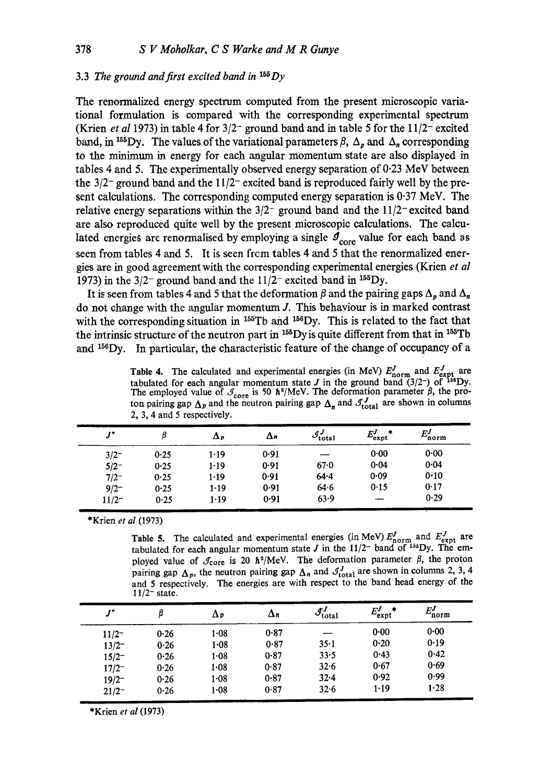# 3.3 *The ground and first excited band in 15S Dy*

The renormalized energy spectrum computed from the present microscopic variational formulation is compared with the corresponding experimental spectrum (Krien *et al* 1973) in table 4 for  $3/2$ <sup>-</sup> ground band and in table 5 for the  $11/2$ <sup>-</sup> excited band, in <sup>155</sup>Dy. The values of the variational parameters  $\beta$ ,  $\Delta_p$  and  $\Delta_n$  corresponding to the minimum in energy for each angular momentum state are also displayed in tables 4 and 5. The experimentally observed energy separation of  $0.23 \text{ MeV}$  between the  $3/2$ -ground band and the  $11/2$ -excited band is reproduced fairly well by the present calculations. The corresponding computed energy separation is 0.37 MeV. The relative energy separations within the  $3/2^-$  ground band and the  $11/2^-$  excited band are also reproduced quite well by the present microscopic calculations. The calculated energies arc renormalised by employing a single  $\mathcal{I}_{core}$  value for each band as seen from tables 4 and 5. It is seen frcm tables 4 and 5 that the renormalized energies are in good agreement with the corresponding experimental energies (Krien *et al*  1973) in the  $3/2$ <sup>-</sup> ground band and the  $11/2$ <sup>-</sup> excited band in <sup>155</sup>Dy.

It is seen from tables 4 and 5 that the deformation  $\beta$  and the pairing gaps  $\Delta_p$  and  $\Delta_n$ do not change with the angular momentum J. This behaviour is in marked contrast with the corresponding situation in  $155Tb$  and  $156Dy$ . This is related to the fact that the intrinsic structure of the neutron part in  $155Dy$  is quite different from that in  $155Tb$ and  $156$  Dy. In particular, the characteristic feature of the change of occupancy of a

Table 4. The calculated and experimental energies (in MeV)  $E_{\text{norm}}'$  and  $E_{\text{expt}}'$  are tabulated for each angular momentum state J in the ground band  $(3/2^-)$  of  $^{156}$ Dy. The employed value of  $\mathcal{J}_{\text{core}}$  is 50  $\hbar^2/\text{MeV}$ . The deformation parameter  $\beta$ , the proton pairing gap  $\Delta_p$  and the neutron pairing gap  $\Delta_n$  and  $\mathcal{J}_{total}$  are shown in columns 2, 3, 4 and 5 respectively.

| $J^{\bullet}$ | β    | $\Delta p$ | $\Delta n$ | $\mathcal{J}^J_{\text{total}}$ | $E^J_{\rm expt}$ | $E^J$<br>'norm |
|---------------|------|------------|------------|--------------------------------|------------------|----------------|
| $3/2^-$       | 0.25 | 1.19       | 0.91       |                                | 0.00             | 0.00           |
| $5/2^-$       | 0.25 | 1.19       | 0.91       | 67.0                           | 0.04             | 0.04           |
| $7/2^-$       | 0.25 | 1.19       | 0.91       | 64.4                           | 0.09             | 0.10           |
| $9/2 -$       | 0.25 | 1.19       | 0.91       | 64.6                           | 0.15             | 0.17           |
| $11/2^-$      | 0.25 | 1.19       | 0.91       | 63.9                           |                  | 0.29           |

\*Krien *et al* (1973)

Table 5. The calculated and experimental energies (in MeV)  $E'_{\text{norm}}$  and  $E'_{\text{expt}}$  are tabulated for each angular momentum state *J* in the  $11/2$ <sup>-</sup> band of  $155$ Dy. The employed value of  $\mathcal{I}_{\text{core}}$  is 20  $\hbar^2/\text{MeV}$ . The deformation parameter  $\beta$ , the proton pairing gap  $\Delta_p$ , the neutron pairing gap  $\Delta_n$  and  $\mathcal{J}_{total}$  are shown in columns 2, 3, 4 and 5 respectively. The energies are with respect to the band head energy of the  $11/2^-$  state.

| $J^*$      | ß    | Δp       | Δn   | $\mathcal{J}^J$<br>'total | $E^J_{\rm expt}$ | FJ<br>'norm |
|------------|------|----------|------|---------------------------|------------------|-------------|
| $11/2^{-}$ | 0.26 | $1 - 08$ | 0.87 |                           | 0.00             | $0 - 00$    |
| $13/2^-$   | 0.26 | 1.08     | 0.87 | $35 - 1$                  | 0.20             | 0.19        |
| $15/2^-$   | 0.26 | $1 - 08$ | 0.87 | 33.5                      | 0.43             | 0.42        |
| $17/2^-$   | 0.26 | $1 - 08$ | 0.87 | $32 - 6$                  | 0.67             | 0.69        |
| $19/2^-$   | 0.26 | $1 - 08$ | 0.87 | 32.4                      | 0.92             | 0.99        |
| $21/2^-$   | 0.26 | 1.08     | 0.87 | 32.6                      | 1.19             | 1.28        |

\*Krien *et al* (1973)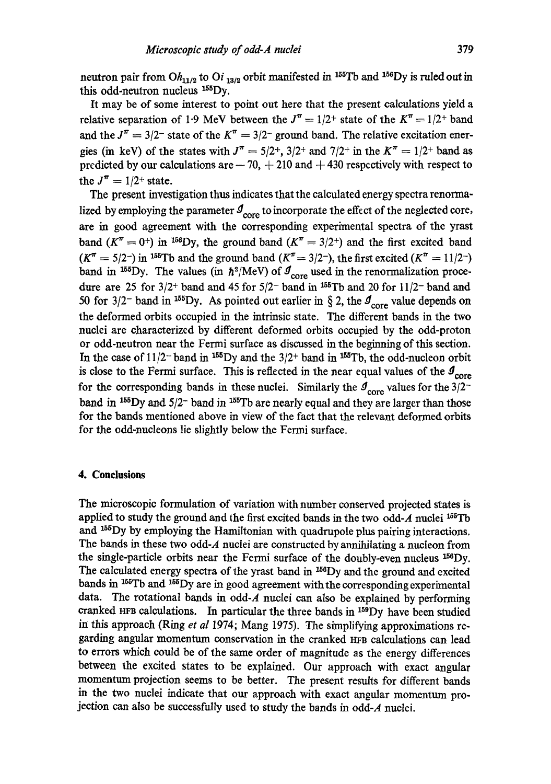neutron pair from  $Oh_{11/2}$  to  $Qi_{13/2}$  orbit manifested in <sup>155</sup>Tb and <sup>156</sup>Dy is ruled out in this odd-neutron nucleus  $155$ Dy.

It may be of some interest to point out here that the present calculations yield a relative separation of 1.9 MeV between the  $J^{\pi} = 1/2^{+}$  state of the  $K^{\pi} = 1/2^{+}$  band and the  $J^{\pi} = 3/2^-$  state of the  $K^{\pi} = 3/2^-$  ground band. The relative excitation energies (in keV) of the states with  $J^{\pi} = 5/2^{+}$ ,  $3/2^{+}$  and  $7/2^{+}$  in the  $K^{\pi} = 1/2^{+}$  band as predicted by our calculations are  $-70$ ,  $+ 210$  and  $+ 430$  respectively with respect to the  $J^{\pi} = 1/2$ <sup>+</sup> state.

The present investigation thus indicates that the calculated energy spectra renormalized by employing the parameter  $\mathcal{I}_{core}$  to incorporate the effect of the neglected core, are in good agreement with the corresponding experimental spectra of the yrast band  $(K^{\pi} = 0^{+})$  in <sup>156</sup>Dy, the ground band  $(K^{\pi} = 3/2^{+})$  and the first excited band  $(K^{\pi} = 5/2^{-})$  in <sup>155</sup>Tb and the ground band  $(K^{\pi} = 3/2^{-})$ , the first excited  $(K^{\pi} = 11/2^{-})$ band in <sup>155</sup>Dy. The values (in  $\hbar^2/\text{MeV}$ ) of  $\mathcal{I}_{core}$  used in the renormalization procedure are 25 for  $3/2$ <sup>+</sup> band and 45 for  $5/2$ <sup>-</sup> band in <sup>155</sup>Tb and 20 for 11/2<sup>-</sup> band and 50 for 3/2<sup>-</sup> band in <sup>155</sup>Dy. As pointed out earlier in § 2, the  $\sigma_{\text{core}}$  value depends on the deformed orbits occupied in the intrinsic state. The different bands in the two nuclei are characterized by different deformed orbits occupied by the odd-proton or odd-neutron near the Fermi surface as discussed in the beginning of this section. In the case of  $11/2$  band in <sup>155</sup>Dy and the  $3/2$  + band in <sup>155</sup>Tb, the odd-nucleon orbit is close to the Fermi surface. This is reflected in the near equal values of the  $\mathcal{I}_{\text{core}}$ for the corresponding bands in these nuclei. Similarly the  $\mathcal{I}_{core}$  values for the 3/2band in  $^{155}$ Dy and  $5/2^-$  band in  $^{155}$ Tb are nearly equal and they are larger than those for the bands mentioned above in view of the fact that the relevant deformed orbits for the odd-nucleons lie slightly below the Fermi surface.

# **4. Conclusions**

The microscopic formulation of variation with number conserved projected states is applied to study the ground and the first excited bands in the two odd-A nuclei  $^{155}$ Tb and 155Dy by employing the Hamiltonian with quadrupole plus pairing interactions. The bands in these two odd-A nuclei are constructed by annihilating a nucleon from the single-particle orbits near the Fermi surface of the doubly-even nucleus 156Dy. The calculated energy spectra of the yrast band in 158Dy and the ground and excited bands in <sup>155</sup>Tb and <sup>155</sup>Dy are in good agreement with the corresponding experimental data. The rotational bands in odd-A nuclei can also be explained by performing cranked HFB calculations. In particular the three bands in  $159$ Dy have been studied in this approach (Ring *et al* 1974; Mang 1975). The simplifying approximations regarding angular momentum conservation in the cranked HFB calculations can lead to errors which could be of the same order of magnitude as the energy differences between the excited states to be explained. Our approach with exact angular momentum projection seems to be better. The present results for different bands in the two nuclei indicate that our approach with exact angular momentum projection can also be successfully used to study the bands in odd-A nuclei.